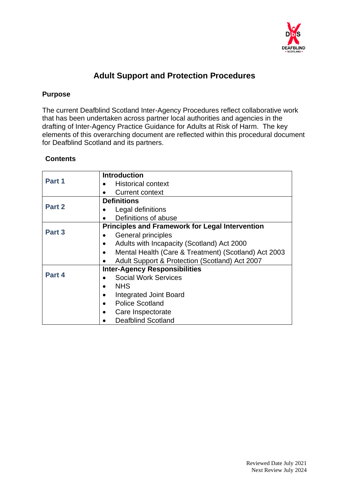

# **Adult Support and Protection Procedures**

## **Purpose**

The current Deafblind Scotland Inter-Agency Procedures reflect collaborative work that has been undertaken across partner local authorities and agencies in the drafting of Inter-Agency Practice Guidance for Adults at Risk of Harm. The key elements of this overarching document are reflected within this procedural document for Deafblind Scotland and its partners.

## **Contents**

|        | <b>Introduction</b>                                         |
|--------|-------------------------------------------------------------|
| Part 1 | <b>Historical context</b>                                   |
|        | <b>Current context</b><br>$\bullet$                         |
| Part 2 | <b>Definitions</b>                                          |
|        | Legal definitions                                           |
|        | Definitions of abuse                                        |
| Part 3 | <b>Principles and Framework for Legal Intervention</b>      |
|        | General principles                                          |
|        | Adults with Incapacity (Scotland) Act 2000<br>$\bullet$     |
|        | Mental Health (Care & Treatment) (Scotland) Act 2003        |
|        | Adult Support & Protection (Scotland) Act 2007<br>$\bullet$ |
| Part 4 | <b>Inter-Agency Responsibilities</b>                        |
|        | <b>Social Work Services</b>                                 |
|        | <b>NHS</b><br>$\bullet$                                     |
|        | <b>Integrated Joint Board</b><br>$\bullet$                  |
|        | <b>Police Scotland</b><br>$\bullet$                         |
|        | Care Inspectorate<br>$\bullet$                              |
|        | Deafblind Scotland                                          |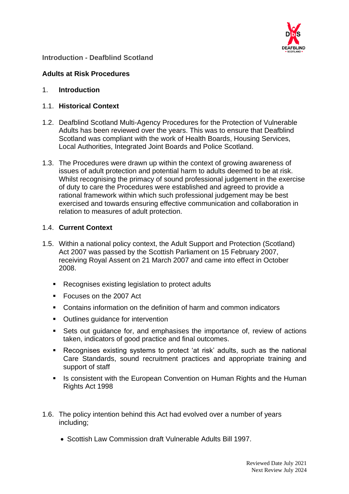

## **Introduction - Deafblind Scotland**

## **Adults at Risk Procedures**

### 1. **Introduction**

## 1.1. **Historical Context**

- 1.2. Deafblind Scotland Multi-Agency Procedures for the Protection of Vulnerable Adults has been reviewed over the years. This was to ensure that Deafblind Scotland was compliant with the work of Health Boards, Housing Services, Local Authorities, Integrated Joint Boards and Police Scotland.
- 1.3. The Procedures were drawn up within the context of growing awareness of issues of adult protection and potential harm to adults deemed to be at risk. Whilst recognising the primacy of sound professional judgement in the exercise of duty to care the Procedures were established and agreed to provide a rational framework within which such professional judgement may be best exercised and towards ensuring effective communication and collaboration in relation to measures of adult protection.

## 1.4. **Current Context**

- 1.5. Within a national policy context, the Adult Support and Protection (Scotland) Act 2007 was passed by the Scottish Parliament on 15 February 2007, receiving Royal Assent on 21 March 2007 and came into effect in October 2008.
	- Recognises existing legislation to protect adults
	- Focuses on the 2007 Act
	- Contains information on the definition of harm and common indicators
	- Outlines guidance for intervention
	- Sets out guidance for, and emphasises the importance of, review of actions taken, indicators of good practice and final outcomes.
	- Recognises existing systems to protect 'at risk' adults, such as the national Care Standards, sound recruitment practices and appropriate training and support of staff
	- Is consistent with the European Convention on Human Rights and the Human Rights Act 1998
- 1.6. The policy intention behind this Act had evolved over a number of years including;
	- Scottish Law Commission draft Vulnerable Adults Bill 1997.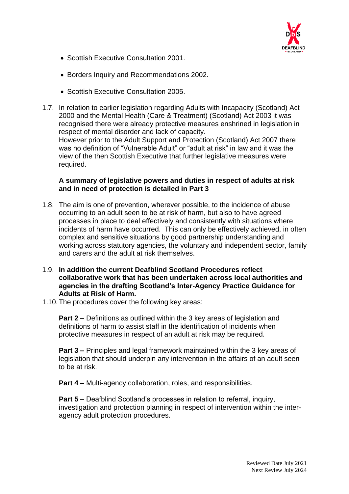

- Scottish Executive Consultation 2001.
- Borders Inquiry and Recommendations 2002.
- Scottish Executive Consultation 2005.

required.

1.7. In relation to earlier legislation regarding Adults with Incapacity (Scotland) Act 2000 and the Mental Health (Care & Treatment) (Scotland) Act 2003 it was recognised there were already protective measures enshrined in legislation in respect of mental disorder and lack of capacity. However prior to the Adult Support and Protection (Scotland) Act 2007 there was no definition of "Vulnerable Adult" or "adult at risk" in law and it was the view of the then Scottish Executive that further legislative measures were

## **A summary of legislative powers and duties in respect of adults at risk and in need of protection is detailed in Part 3**

- 1.8. The aim is one of prevention, wherever possible, to the incidence of abuse occurring to an adult seen to be at risk of harm, but also to have agreed processes in place to deal effectively and consistently with situations where incidents of harm have occurred. This can only be effectively achieved, in often complex and sensitive situations by good partnership understanding and working across statutory agencies, the voluntary and independent sector, family and carers and the adult at risk themselves.
- 1.9. **In addition the current Deafblind Scotland Procedures reflect collaborative work that has been undertaken across local authorities and agencies in the drafting Scotland's Inter-Agency Practice Guidance for Adults at Risk of Harm.**
- 1.10.The procedures cover the following key areas:

**Part 2 –** Definitions as outlined within the 3 key areas of legislation and definitions of harm to assist staff in the identification of incidents when protective measures in respect of an adult at risk may be required.

**Part 3 –** Principles and legal framework maintained within the 3 key areas of legislation that should underpin any intervention in the affairs of an adult seen to be at risk.

**Part 4 –** Multi-agency collaboration, roles, and responsibilities.

**Part 5 –** Deafblind Scotland's processes in relation to referral, inquiry, investigation and protection planning in respect of intervention within the interagency adult protection procedures.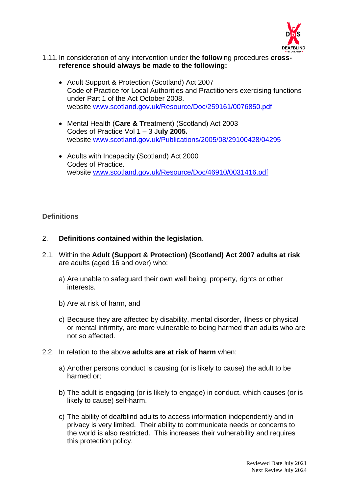

### 1.11.In consideration of any intervention under t**he follow**ing procedures **crossreference should always be made to the following:**

- Adult Support & Protection (Scotland) Act 2007 Code of Practice for Local Authorities and Practitioners exercising functions under Part 1 of the Act October 2008. website [www.scotland.gov.uk/Resource/Doc/259161/0076850.pdf](http://www.scotland.gov.uk/Resource/Doc/259161/0076850.pdf)
- Mental Health (**Care & Tr**eatment) (Scotland) Act 2003 Codes of Practice Vol 1 – 3 J**uly 2005.** website [www.scotland.gov.uk/Publications/2005/08/29100428/04295](http://www.scotland.gov.uk/Publications/2005/08/29100428/04295)
- Adults with Incapacity (Scotland) Act 2000 Codes of Practice. website [www.scotland.gov.uk/Resource/Doc/46910/0031416.pdf](http://www.scotland.gov.uk/Resource/Doc/46910/0031416.pdf)

### **Definitions**

### 2. **Definitions contained within the legislation**.

- 2.1. Within the **Adult (Support & Protection) (Scotland) Act 2007 adults at risk** are adults (aged 16 and over) who:
	- a) Are unable to safeguard their own well being, property, rights or other interests.
	- b) Are at risk of harm, and
	- c) Because they are affected by disability, mental disorder, illness or physical or mental infirmity, are more vulnerable to being harmed than adults who are not so affected.
- 2.2. In relation to the above **adults are at risk of harm** when:
	- a) Another persons conduct is causing (or is likely to cause) the adult to be harmed or;
	- b) The adult is engaging (or is likely to engage) in conduct, which causes (or is likely to cause) self-harm.
	- c) The ability of deafblind adults to access information independently and in privacy is very limited. Their ability to communicate needs or concerns to the world is also restricted. This increases their vulnerability and requires this protection policy.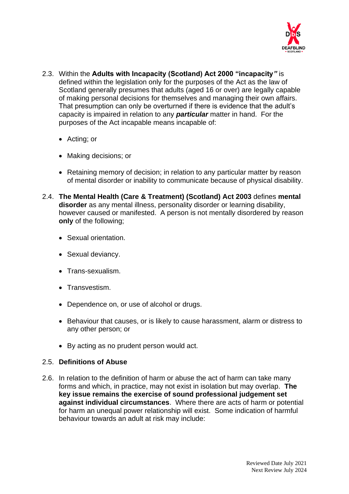

- 2.3. Within the **Adults with Incapacity (Scotland) Act 2000 "incapacity***"* is defined within the legislation only for the purposes of the Act as the law of Scotland generally presumes that adults (aged 16 or over) are legally capable of making personal decisions for themselves and managing their own affairs. That presumption can only be overturned if there is evidence that the adult's capacity is impaired in relation to any *particular* matter in hand. For the purposes of the Act incapable means incapable of:
	- Acting; or
	- Making decisions; or
	- Retaining memory of decision; in relation to any particular matter by reason of mental disorder or inability to communicate because of physical disability.
- 2.4. **The Mental Health (Care & Treatment) (Scotland) Act 2003** defines **mental disorder** as any mental illness, personality disorder or learning disability, however caused or manifested. A person is not mentally disordered by reason **only** of the following;
	- Sexual orientation.
	- Sexual deviancy.
	- Trans-sexualism.
	- Transvestism.
	- Dependence on, or use of alcohol or drugs.
	- Behaviour that causes, or is likely to cause harassment, alarm or distress to any other person; or
	- By acting as no prudent person would act.

### 2.5. **Definitions of Abuse**

2.6. In relation to the definition of harm or abuse the act of harm can take many forms and which, in practice, may not exist in isolation but may overlap. **The key issue remains the exercise of sound professional judgement set against individual circumstances**. Where there are acts of harm or potential for harm an unequal power relationship will exist. Some indication of harmful behaviour towards an adult at risk may include: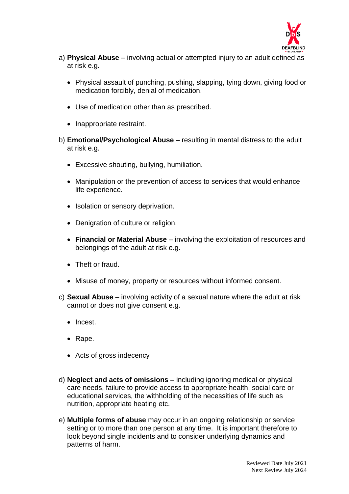

- a) **Physical Abuse** involving actual or attempted injury to an adult defined as at risk e.g.
	- Physical assault of punching, pushing, slapping, tying down, giving food or medication forcibly, denial of medication.
	- Use of medication other than as prescribed.
	- Inappropriate restraint.
- b) **Emotional/Psychological Abuse** resulting in mental distress to the adult at risk e.g.
	- Excessive shouting, bullying, humiliation.
	- Manipulation or the prevention of access to services that would enhance life experience.
	- Isolation or sensory deprivation.
	- Denigration of culture or religion.
	- **Financial or Material Abuse** involving the exploitation of resources and belongings of the adult at risk e.g.
	- Theft or fraud.
	- Misuse of money, property or resources without informed consent.
- c) **Sexual Abuse** involving activity of a sexual nature where the adult at risk cannot or does not give consent e.g.
	- Incest.
	- Rape.
	- Acts of gross indecency
- d) **Neglect and acts of omissions –** including ignoring medical or physical care needs, failure to provide access to appropriate health, social care or educational services, the withholding of the necessities of life such as nutrition, appropriate heating etc.
- e) **Multiple forms of abuse** may occur in an ongoing relationship or service setting or to more than one person at any time. It is important therefore to look beyond single incidents and to consider underlying dynamics and patterns of harm.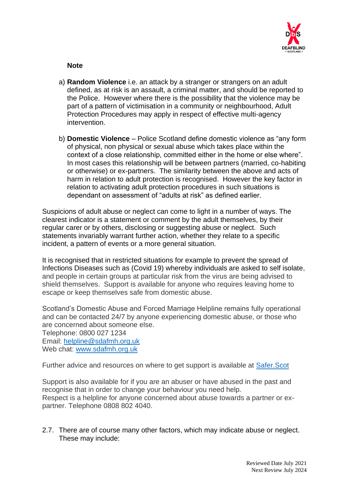

**Note**

- a) **Random Violence** i.e. an attack by a stranger or strangers on an adult defined, as at risk is an assault, a criminal matter, and should be reported to the Police. However where there is the possibility that the violence may be part of a pattern of victimisation in a community or neighbourhood, Adult Protection Procedures may apply in respect of effective multi-agency intervention.
- b) **Domestic Violence**  Police Scotland define domestic violence as "any form of physical, non physical or sexual abuse which takes place within the context of a close relationship, committed either in the home or else where". In most cases this relationship will be between partners (married, co-habiting or otherwise) or ex-partners. The similarity between the above and acts of harm in relation to adult protection is recognised. However the key factor in relation to activating adult protection procedures in such situations is dependant on assessment of "adults at risk" as defined earlier.

Suspicions of adult abuse or neglect can come to light in a number of ways. The clearest indicator is a statement or comment by the adult themselves, by their regular carer or by others, disclosing or suggesting abuse or neglect. Such statements invariably warrant further action, whether they relate to a specific incident, a pattern of events or a more general situation.

It is recognised that in restricted situations for example to prevent the spread of Infections Diseases such as (Covid 19) whereby individuals are asked to self isolate, and people in certain groups at particular risk from the virus are being advised to shield themselves. Support is available for anyone who requires leaving home to escape or keep themselves safe from domestic abuse.

Scotland's Domestic Abuse and Forced Marriage Helpline remains fully operational and can be contacted 24/7 by anyone experiencing domestic abuse, or those who are concerned about someone else. Telephone: 0800 027 1234 Email: [helpline@sdafmh.org.uk](mailto:helpline@sdafmh.org.uk)

Web chat: [www.sdafmh.org.uk](http://www.sdafmh.org.uk/)

Further advice and resources on where to get support is available at [Safer.Scot](https://safer.scot/page-3/)

Support is also available for if you are an abuser or have abused in the past and recognise that in order to change your behaviour you need help. Respect is a helpline for anyone concerned about abuse towards a partner or expartner. Telephone 0808 802 4040.

2.7. There are of course many other factors, which may indicate abuse or neglect. These may include: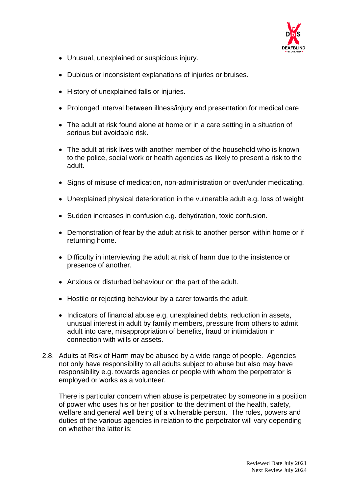

- Unusual, unexplained or suspicious injury.
- Dubious or inconsistent explanations of injuries or bruises.
- History of unexplained falls or injuries.
- Prolonged interval between illness/injury and presentation for medical care
- The adult at risk found alone at home or in a care setting in a situation of serious but avoidable risk.
- The adult at risk lives with another member of the household who is known to the police, social work or health agencies as likely to present a risk to the adult.
- Signs of misuse of medication, non-administration or over/under medicating.
- Unexplained physical deterioration in the vulnerable adult e.g. loss of weight
- Sudden increases in confusion e.g. dehydration, toxic confusion.
- Demonstration of fear by the adult at risk to another person within home or if returning home.
- Difficulty in interviewing the adult at risk of harm due to the insistence or presence of another.
- Anxious or disturbed behaviour on the part of the adult.
- Hostile or rejecting behaviour by a carer towards the adult.
- Indicators of financial abuse e.g. unexplained debts, reduction in assets, unusual interest in adult by family members, pressure from others to admit adult into care, misappropriation of benefits, fraud or intimidation in connection with wills or assets.
- 2.8. Adults at Risk of Harm may be abused by a wide range of people. Agencies not only have responsibility to all adults subject to abuse but also may have responsibility e.g. towards agencies or people with whom the perpetrator is employed or works as a volunteer.

There is particular concern when abuse is perpetrated by someone in a position of power who uses his or her position to the detriment of the health, safety, welfare and general well being of a vulnerable person. The roles, powers and duties of the various agencies in relation to the perpetrator will vary depending on whether the latter is: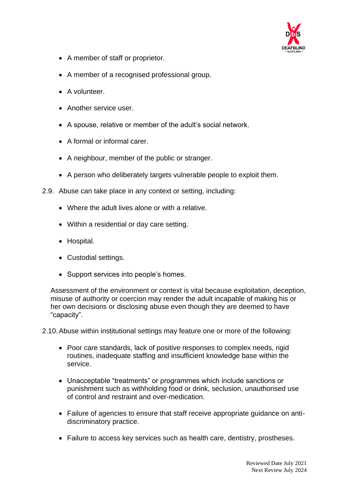

- A member of staff or proprietor.
- A member of a recognised professional group.
- A volunteer.
- Another service user.
- A spouse, relative or member of the adult's social network.
- A formal or informal carer.
- A neighbour, member of the public or stranger.
- A person who deliberately targets vulnerable people to exploit them.
- 2.9. Abuse can take place in any context or setting, including:
	- Where the adult lives alone or with a relative.
	- Within a residential or day care setting.
	- Hospital.
	- Custodial settings.
	- Support services into people's homes.

Assessment of the environment or context is vital because exploitation, deception, misuse of authority or coercion may render the adult incapable of making his or her own decisions or disclosing abuse even though they are deemed to have "capacity".

2.10.Abuse within institutional settings may feature one or more of the following:

- Poor care standards, lack of positive responses to complex needs, rigid routines, inadequate staffing and insufficient knowledge base within the service.
- Unacceptable "treatments" or programmes which include sanctions or punishment such as withholding food or drink, seclusion, unauthorised use of control and restraint and over-medication.
- Failure of agencies to ensure that staff receive appropriate guidance on antidiscriminatory practice.
- Failure to access key services such as health care, dentistry, prostheses.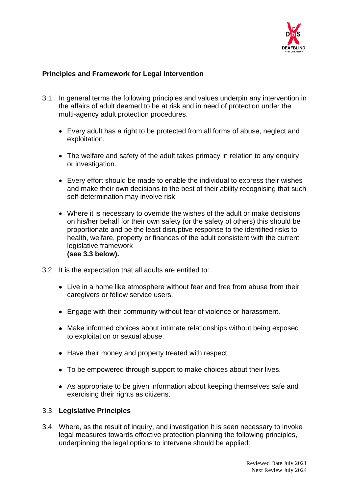

## **Principles and Framework for Legal Intervention**

- 3.1. In general terms the following principles and values underpin any intervention in the affairs of adult deemed to be at risk and in need of protection under the multi-agency adult protection procedures.
	- Every adult has a right to be protected from all forms of abuse, neglect and exploitation.
	- The welfare and safety of the adult takes primacy in relation to any enquiry or investigation.
	- Every effort should be made to enable the individual to express their wishes and make their own decisions to the best of their ability recognising that such self-determination may involve risk.
	- Where it is necessary to override the wishes of the adult or make decisions on his/her behalf for their own safety (or the safety of others) this should be proportionate and be the least disruptive response to the identified risks to health, welfare, property or finances of the adult consistent with the current legislative framework **(see 3.3 below).**
- 3.2. It is the expectation that all adults are entitled to:
	- Live in a home like atmosphere without fear and free from abuse from their caregivers or fellow service users.
	- Engage with their community without fear of violence or harassment.
	- Make informed choices about intimate relationships without being exposed to exploitation or sexual abuse.
	- Have their money and property treated with respect.
	- To be empowered through support to make choices about their lives.
	- As appropriate to be given information about keeping themselves safe and exercising their rights as citizens.

### 3.3. **Legislative Principles**

3.4. Where, as the result of inquiry, and investigation it is seen necessary to invoke legal measures towards effective protection planning the following principles, underpinning the legal options to intervene should be applied: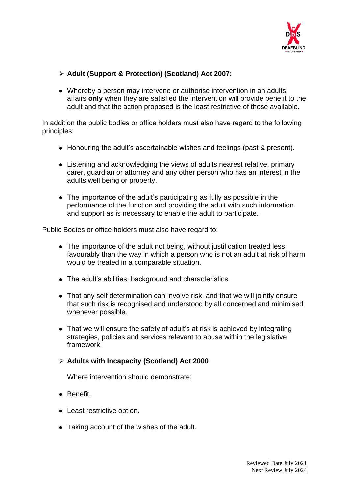

## ➢ **Adult (Support & Protection) (Scotland) Act 2007;**

• Whereby a person may intervene or authorise intervention in an adults affairs **only** when they are satisfied the intervention will provide benefit to the adult and that the action proposed is the least restrictive of those available.

In addition the public bodies or office holders must also have regard to the following principles:

- Honouring the adult's ascertainable wishes and feelings (past & present).
- Listening and acknowledging the views of adults nearest relative, primary carer, guardian or attorney and any other person who has an interest in the adults well being or property.
- The importance of the adult's participating as fully as possible in the performance of the function and providing the adult with such information and support as is necessary to enable the adult to participate.

Public Bodies or office holders must also have regard to:

- The importance of the adult not being, without justification treated less favourably than the way in which a person who is not an adult at risk of harm would be treated in a comparable situation.
- The adult's abilities, background and characteristics.
- That any self determination can involve risk, and that we will jointly ensure that such risk is recognised and understood by all concerned and minimised whenever possible.
- That we will ensure the safety of adult's at risk is achieved by integrating strategies, policies and services relevant to abuse within the legislative framework.

## ➢ **Adults with Incapacity (Scotland) Act 2000**

Where intervention should demonstrate;

- Benefit.
- Least restrictive option.
- Taking account of the wishes of the adult.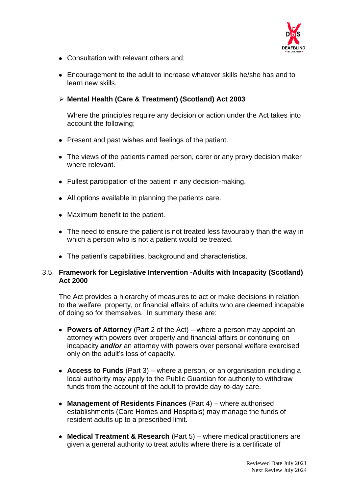

- Consultation with relevant others and;
- Encouragement to the adult to increase whatever skills he/she has and to learn new skills.

## ➢ **Mental Health (Care & Treatment) (Scotland) Act 2003**

Where the principles require any decision or action under the Act takes into account the following;

- Present and past wishes and feelings of the patient.
- The views of the patients named person, carer or any proxy decision maker where relevant.
- Fullest participation of the patient in any decision-making.
- All options available in planning the patients care.
- Maximum benefit to the patient.
- The need to ensure the patient is not treated less favourably than the way in which a person who is not a patient would be treated.
- The patient's capabilities, background and characteristics.

### 3.5. **Framework for Legislative Intervention -Adults with Incapacity (Scotland) Act 2000**

The Act provides a hierarchy of measures to act or make decisions in relation to the welfare, property, or financial affairs of adults who are deemed incapable of doing so for themselves. In summary these are:

- **Powers of Attorney** (Part 2 of the Act) where a person may appoint an attorney with powers over property and financial affairs or continuing on incapacity *and/or* an attorney with powers over personal welfare exercised only on the adult's loss of capacity.
- **Access to Funds** (Part 3) where a person, or an organisation including a local authority may apply to the Public Guardian for authority to withdraw funds from the account of the adult to provide day-to-day care.
- **Management of Residents Finances** (Part 4) where authorised establishments (Care Homes and Hospitals) may manage the funds of resident adults up to a prescribed limit.
- **Medical Treatment & Research** (Part 5) where medical practitioners are given a general authority to treat adults where there is a certificate of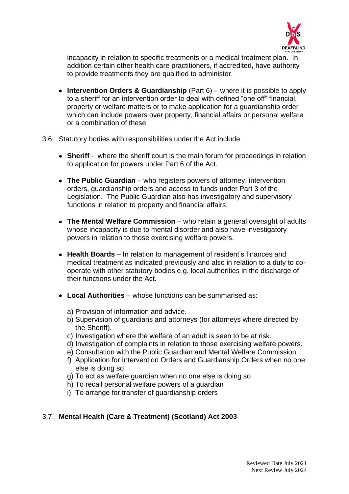

incapacity in relation to specific treatments or a medical treatment plan. In addition certain other health care practitioners, if accredited, have authority to provide treatments they are qualified to administer.

- **Intervention Orders & Guardianship** (Part 6) where it is possible to apply to a sheriff for an intervention order to deal with defined "one off" financial, property or welfare matters or to make application for a guardianship order which can include powers over property, financial affairs or personal welfare or a combination of these.
- 3.6. Statutory bodies with responsibilities under the Act include
	- **Sheriff** where the sheriff court is the main forum for proceedings in relation to application for powers under Part 6 of the Act.
	- **The Public Guardian** who registers powers of attorney, intervention orders, guardianship orders and access to funds under Part 3 of the Legislation. The Public Guardian also has investigatory and supervisory functions in relation to property and financial affairs.
	- **The Mental Welfare Commission** who retain a general oversight of adults whose incapacity is due to mental disorder and also have investigatory powers in relation to those exercising welfare powers.
	- **Health Boards**  In relation to management of resident's finances and medical treatment as indicated previously and also in relation to a duty to cooperate with other statutory bodies e.g. local authorities in the discharge of their functions under the Act.
	- **Local Authorities**  whose functions can be summarised as:
		- a) Provision of information and advice.
		- b) Supervision of guardians and attorneys (for attorneys where directed by the Sheriff).
		- c) Investigation where the welfare of an adult is seen to be at risk.
		- d) Investigation of complaints in relation to those exercising welfare powers.
		- e) Consultation with the Public Guardian and Mental Welfare Commission
		- f) Application for Intervention Orders and Guardianship Orders when no one else is doing so
		- g) To act as welfare guardian when no one else is doing so
		- h) To recall personal welfare powers of a guardian
		- i) To arrange for transfer of guardianship orders

## 3.7. **Mental Health (Care & Treatment) (Scotland) Act 2003**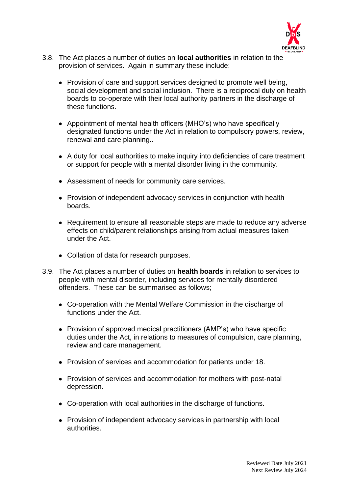

- 3.8. The Act places a number of duties on **local authorities** in relation to the provision of services. Again in summary these include:
	- Provision of care and support services designed to promote well being, social development and social inclusion. There is a reciprocal duty on health boards to co-operate with their local authority partners in the discharge of these functions.
	- Appointment of mental health officers (MHO's) who have specifically designated functions under the Act in relation to compulsory powers, review, renewal and care planning..
	- A duty for local authorities to make inquiry into deficiencies of care treatment or support for people with a mental disorder living in the community.
	- Assessment of needs for community care services.
	- Provision of independent advocacy services in conjunction with health boards.
	- Requirement to ensure all reasonable steps are made to reduce any adverse effects on child/parent relationships arising from actual measures taken under the Act.
	- Collation of data for research purposes.
- 3.9. The Act places a number of duties on **health boards** in relation to services to people with mental disorder, including services for mentally disordered offenders. These can be summarised as follows;
	- Co-operation with the Mental Welfare Commission in the discharge of functions under the Act.
	- Provision of approved medical practitioners (AMP's) who have specific duties under the Act, in relations to measures of compulsion, care planning, review and care management.
	- Provision of services and accommodation for patients under 18.
	- Provision of services and accommodation for mothers with post-natal depression.
	- Co-operation with local authorities in the discharge of functions.
	- Provision of independent advocacy services in partnership with local authorities.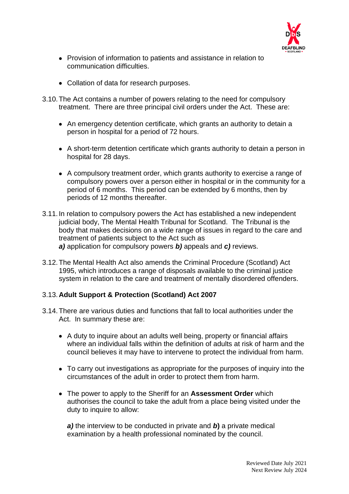

- Provision of information to patients and assistance in relation to communication difficulties.
- Collation of data for research purposes.
- 3.10.The Act contains a number of powers relating to the need for compulsory treatment. There are three principal civil orders under the Act. These are:
	- An emergency detention certificate, which grants an authority to detain a person in hospital for a period of 72 hours.
	- A short-term detention certificate which grants authority to detain a person in hospital for 28 days.
	- A compulsory treatment order, which grants authority to exercise a range of compulsory powers over a person either in hospital or in the community for a period of 6 months. This period can be extended by 6 months, then by periods of 12 months thereafter.
- 3.11.In relation to compulsory powers the Act has established a new independent judicial body, The Mental Health Tribunal for Scotland. The Tribunal is the body that makes decisions on a wide range of issues in regard to the care and treatment of patients subject to the Act such as *a)* application for compulsory powers *b)* appeals and *c)* reviews.
- 3.12.The Mental Health Act also amends the Criminal Procedure (Scotland) Act 1995, which introduces a range of disposals available to the criminal justice system in relation to the care and treatment of mentally disordered offenders.

## 3.13.**Adult Support & Protection (Scotland) Act 2007**

- 3.14.There are various duties and functions that fall to local authorities under the Act. In summary these are:
	- A duty to inquire about an adults well being, property or financial affairs where an individual falls within the definition of adults at risk of harm and the council believes it may have to intervene to protect the individual from harm.
	- To carry out investigations as appropriate for the purposes of inquiry into the circumstances of the adult in order to protect them from harm.
	- The power to apply to the Sheriff for an **Assessment Order** which authorises the council to take the adult from a place being visited under the duty to inquire to allow:

*a)* the interview to be conducted in private and *b***)** a private medical examination by a health professional nominated by the council.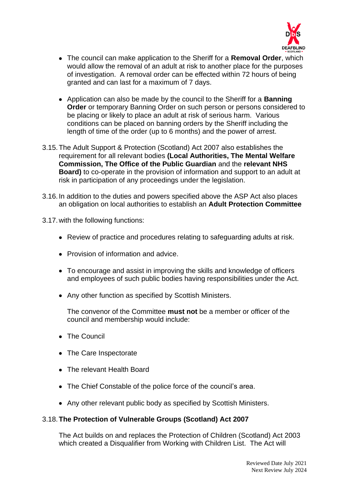

- The council can make application to the Sheriff for a **Removal Order**, which would allow the removal of an adult at risk to another place for the purposes of investigation. A removal order can be effected within 72 hours of being granted and can last for a maximum of 7 days.
- Application can also be made by the council to the Sheriff for a **Banning Order** or temporary Banning Order on such person or persons considered to be placing or likely to place an adult at risk of serious harm. Various conditions can be placed on banning orders by the Sheriff including the length of time of the order (up to 6 months) and the power of arrest.
- 3.15.The Adult Support & Protection (Scotland) Act 2007 also establishes the requirement for all relevant bodies **(Local Authorities, The Mental Welfare Commission, The Office of the Public Guardian** and the **relevant NHS Board)** to co-operate in the provision of information and support to an adult at risk in participation of any proceedings under the legislation.
- 3.16.In addition to the duties and powers specified above the ASP Act also places an obligation on local authorities to establish an **Adult Protection Committee**
- 3.17.with the following functions:
	- Review of practice and procedures relating to safeguarding adults at risk.
	- Provision of information and advice.
	- To encourage and assist in improving the skills and knowledge of officers and employees of such public bodies having responsibilities under the Act.
	- Any other function as specified by Scottish Ministers.

The convenor of the Committee **must not** be a member or officer of the council and membership would include:

- The Council
- The Care Inspectorate
- The relevant Health Board
- The Chief Constable of the police force of the council's area.
- Any other relevant public body as specified by Scottish Ministers.

## 3.18.**The Protection of Vulnerable Groups (Scotland) Act 2007**

The Act builds on and replaces the Protection of Children (Scotland) Act 2003 which created a Disqualifier from Working with Children List. The Act will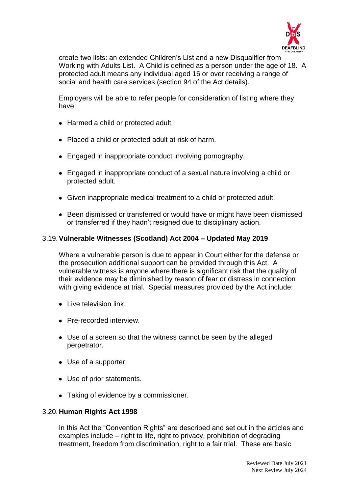

create two lists: an extended Children's List and a new Disqualifier from Working with Adults List. A Child is defined as a person under the age of 18. A protected adult means any individual aged 16 or over receiving a range of social and health care services (section 94 of the Act details).

Employers will be able to refer people for consideration of listing where they have:

- Harmed a child or protected adult.
- Placed a child or protected adult at risk of harm.
- Engaged in inappropriate conduct involving pornography.
- Engaged in inappropriate conduct of a sexual nature involving a child or protected adult.
- Given inappropriate medical treatment to a child or protected adult.
- Been dismissed or transferred or would have or might have been dismissed or transferred if they hadn't resigned due to disciplinary action.

## 3.19.**Vulnerable Witnesses (Scotland) Act 2004 – Updated May 2019**

Where a vulnerable person is due to appear in Court either for the defense or the prosecution additional support can be provided through this Act. A vulnerable witness is anyone where there is significant risk that the quality of their evidence may be diminished by reason of fear or distress in connection with giving evidence at trial. Special measures provided by the Act include:

- **•** Live television link
- Pre-recorded interview.
- Use of a screen so that the witness cannot be seen by the alleged perpetrator.
- Use of a supporter.
- Use of prior statements.
- Taking of evidence by a commissioner.

### 3.20.**Human Rights Act 1998**

In this Act the "Convention Rights" are described and set out in the articles and examples include – right to life, right to privacy, prohibition of degrading treatment, freedom from discrimination, right to a fair trial. These are basic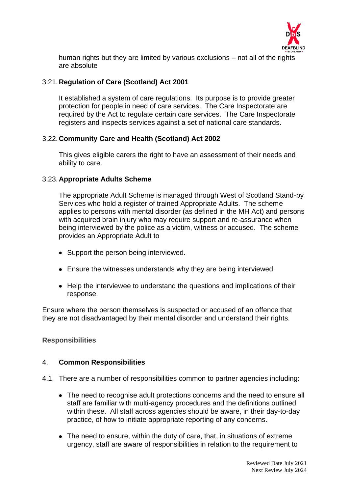

human rights but they are limited by various exclusions – not all of the rights are absolute

## 3.21.**Regulation of Care (Scotland) Act 2001**

It established a system of care regulations. Its purpose is to provide greater protection for people in need of care services. The Care Inspectorate are required by the Act to regulate certain care services. The Care Inspectorate registers and inspects services against a set of national care standards.

### 3.22.**Community Care and Health (Scotland) Act 2002**

This gives eligible carers the right to have an assessment of their needs and ability to care.

### 3.23.**Appropriate Adults Scheme**

The appropriate Adult Scheme is managed through West of Scotland Stand-by Services who hold a register of trained Appropriate Adults. The scheme applies to persons with mental disorder (as defined in the MH Act) and persons with acquired brain injury who may require support and re-assurance when being interviewed by the police as a victim, witness or accused. The scheme provides an Appropriate Adult to

- Support the person being interviewed.
- Ensure the witnesses understands why they are being interviewed.
- Help the interviewee to understand the questions and implications of their response.

Ensure where the person themselves is suspected or accused of an offence that they are not disadvantaged by their mental disorder and understand their rights.

### **Responsibilities**

### 4. **Common Responsibilities**

- 4.1. There are a number of responsibilities common to partner agencies including:
	- The need to recognise adult protections concerns and the need to ensure all staff are familiar with multi-agency procedures and the definitions outlined within these. All staff across agencies should be aware, in their day-to-day practice, of how to initiate appropriate reporting of any concerns.
	- The need to ensure, within the duty of care, that, in situations of extreme urgency, staff are aware of responsibilities in relation to the requirement to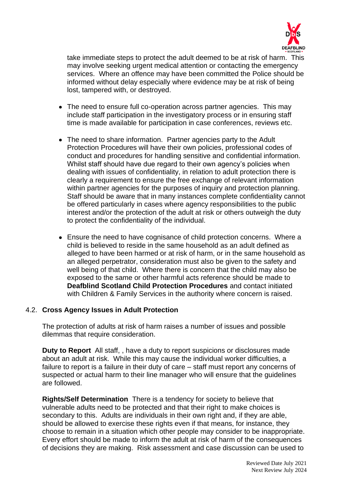

take immediate steps to protect the adult deemed to be at risk of harm. This may involve seeking urgent medical attention or contacting the emergency services. Where an offence may have been committed the Police should be informed without delay especially where evidence may be at risk of being lost, tampered with, or destroyed.

- The need to ensure full co-operation across partner agencies. This may include staff participation in the investigatory process or in ensuring staff time is made available for participation in case conferences, reviews etc.
- The need to share information. Partner agencies party to the Adult Protection Procedures will have their own policies, professional codes of conduct and procedures for handling sensitive and confidential information. Whilst staff should have due regard to their own agency's policies when dealing with issues of confidentiality, in relation to adult protection there is clearly a requirement to ensure the free exchange of relevant information within partner agencies for the purposes of inquiry and protection planning. Staff should be aware that in many instances complete confidentiality cannot be offered particularly in cases where agency responsibilities to the public interest and/or the protection of the adult at risk or others outweigh the duty to protect the confidentiality of the individual.
- Ensure the need to have cognisance of child protection concerns. Where a child is believed to reside in the same household as an adult defined as alleged to have been harmed or at risk of harm, or in the same household as an alleged perpetrator, consideration must also be given to the safety and well being of that child. Where there is concern that the child may also be exposed to the same or other harmful acts reference should be made to **Deafblind Scotland Child Protection Procedures** and contact initiated with Children & Family Services in the authority where concern is raised.

### 4.2. **Cross Agency Issues in Adult Protection**

The protection of adults at risk of harm raises a number of issues and possible dilemmas that require consideration.

**Duty to Report** All staff, , have a duty to report suspicions or disclosures made about an adult at risk. While this may cause the individual worker difficulties, a failure to report is a failure in their duty of care – staff must report any concerns of suspected or actual harm to their line manager who will ensure that the guidelines are followed.

**Rights/Self Determination** There is a tendency for society to believe that vulnerable adults need to be protected and that their right to make choices is secondary to this. Adults are individuals in their own right and, if they are able, should be allowed to exercise these rights even if that means, for instance, they choose to remain in a situation which other people may consider to be inappropriate. Every effort should be made to inform the adult at risk of harm of the consequences of decisions they are making. Risk assessment and case discussion can be used to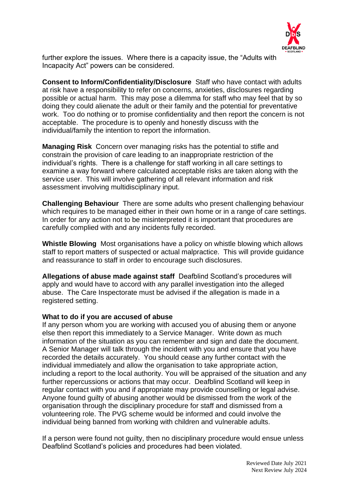

further explore the issues. Where there is a capacity issue, the "Adults with Incapacity Act" powers can be considered.

**Consent to Inform/Confidentiality/Disclosure**Staff who have contact with adults at risk have a responsibility to refer on concerns, anxieties, disclosures regarding possible or actual harm. This may pose a dilemma for staff who may feel that by so doing they could alienate the adult or their family and the potential for preventative work. Too do nothing or to promise confidentiality and then report the concern is not acceptable. The procedure is to openly and honestly discuss with the individual/family the intention to report the information.

**Managing Risk**Concern over managing risks has the potential to stifle and constrain the provision of care leading to an inappropriate restriction of the individual's rights. There is a challenge for staff working in all care settings to examine a way forward where calculated acceptable risks are taken along with the service user. This will involve gathering of all relevant information and risk assessment involving multidisciplinary input.

**Challenging Behaviour**There are some adults who present challenging behaviour which requires to be managed either in their own home or in a range of care settings. In order for any action not to be misinterpreted it is important that procedures are carefully complied with and any incidents fully recorded.

**Whistle Blowing**Most organisations have a policy on whistle blowing which allows staff to report matters of suspected or actual malpractice. This will provide guidance and reassurance to staff in order to encourage such disclosures.

**Allegations of abuse made against staff**Deafblind Scotland's procedures will apply and would have to accord with any parallel investigation into the alleged abuse. The Care Inspectorate must be advised if the allegation is made in a registered setting.

#### **What to do if you are accused of abuse**

If any person whom you are working with accused you of abusing them or anyone else then report this immediately to a Service Manager. Write down as much information of the situation as you can remember and sign and date the document. A Senior Manager will talk through the incident with you and ensure that you have recorded the details accurately. You should cease any further contact with the individual immediately and allow the organisation to take appropriate action, including a report to the local authority. You will be appraised of the situation and any further repercussions or actions that may occur. Deafblind Scotland will keep in regular contact with you and if appropriate may provide counselling or legal advise. Anyone found guilty of abusing another would be dismissed from the work of the organisation through the disciplinary procedure for staff and dismissed from a volunteering role. The PVG scheme would be informed and could involve the individual being banned from working with children and vulnerable adults.

If a person were found not guilty, then no disciplinary procedure would ensue unless Deafblind Scotland's policies and procedures had been violated.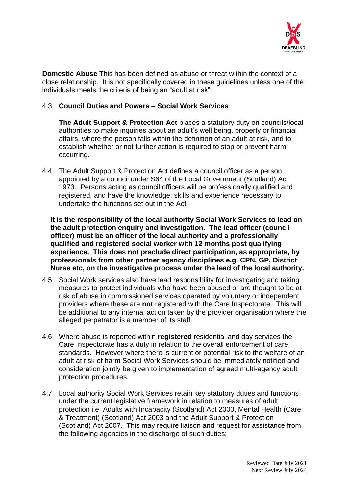

**Domestic Abuse** This has been defined as abuse or threat within the context of a close relationship. It is not specifically covered in these guidelines unless one of the individuals meets the criteria of being an "adult at risk".

### 4.3. **Council Duties and Powers – Social Work Services**

**The Adult Support & Protection Act** places a statutory duty on councils/local authorities to make inquiries about an adult's well being, property or financial affairs, where the person falls within the definition of an adult at risk, and to establish whether or not further action is required to stop or prevent harm occurring.

4.4. The Adult Support & Protection Act defines a council officer as a person appointed by a council under S64 of the Local Government (Scotland) Act 1973. Persons acting as council officers will be professionally qualified and registered, and have the knowledge, skills and experience necessary to undertake the functions set out in the Act.

**It is the responsibility of the local authority Social Work Services to lead on the adult protection enquiry and investigation. The lead officer (council officer) must be an officer of the local authority and a professionally qualified and registered social worker with 12 months post qualifying experience. This does not preclude direct participation, as appropriate, by professionals from other partner agency disciplines e.g. CPN, GP, District Nurse etc, on the investigative process under the lead of the local authority.** 

- 4.5. Social Work services also have lead responsibility for investigating and taking measures to protect individuals who have been abused or are thought to be at risk of abuse in commissioned services operated by voluntary or independent providers where these are **not** registered with the Care Inspectorate. This will be additional to any internal action taken by the provider organisation where the alleged perpetrator is a member of its staff.
- 4.6. Where abuse is reported within **registered** residential and day services the Care Inspectorate has a duty in relation to the overall enforcement of care standards. However where there is current or potential risk to the welfare of an adult at risk of harm Social Work Services should be immediately notified and consideration jointly be given to implementation of agreed multi-agency adult protection procedures.
- 4.7. Local authority Social Work Services retain key statutory duties and functions under the current legislative framework in relation to measures of adult protection i.e. Adults with Incapacity (Scotland) Act 2000, Mental Health (Care & Treatment) (Scotland) Act 2003 and the Adult Support & Protection (Scotland) Act 2007. This may require liaison and request for assistance from the following agencies in the discharge of such duties: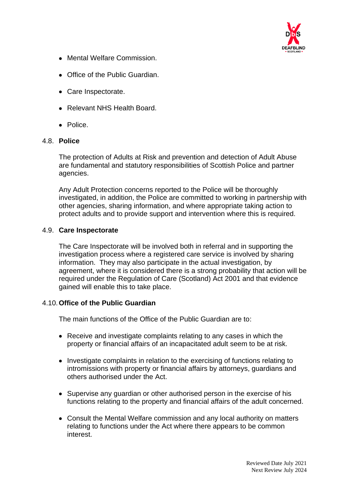

- Mental Welfare Commission.
- Office of the Public Guardian.
- Care Inspectorate.
- Relevant NHS Health Board.
- Police.

### 4.8. **Police**

The protection of Adults at Risk and prevention and detection of Adult Abuse are fundamental and statutory responsibilities of Scottish Police and partner agencies.

Any Adult Protection concerns reported to the Police will be thoroughly investigated, in addition, the Police are committed to working in partnership with other agencies, sharing information, and where appropriate taking action to protect adults and to provide support and intervention where this is required.

### 4.9. **Care Inspectorate**

The Care Inspectorate will be involved both in referral and in supporting the investigation process where a registered care service is involved by sharing information. They may also participate in the actual investigation, by agreement, where it is considered there is a strong probability that action will be required under the Regulation of Care (Scotland) Act 2001 and that evidence gained will enable this to take place.

### 4.10.**Office of the Public Guardian**

The main functions of the Office of the Public Guardian are to:

- Receive and investigate complaints relating to any cases in which the property or financial affairs of an incapacitated adult seem to be at risk.
- Investigate complaints in relation to the exercising of functions relating to intromissions with property or financial affairs by attorneys, guardians and others authorised under the Act.
- Supervise any guardian or other authorised person in the exercise of his functions relating to the property and financial affairs of the adult concerned.
- Consult the Mental Welfare commission and any local authority on matters relating to functions under the Act where there appears to be common interest.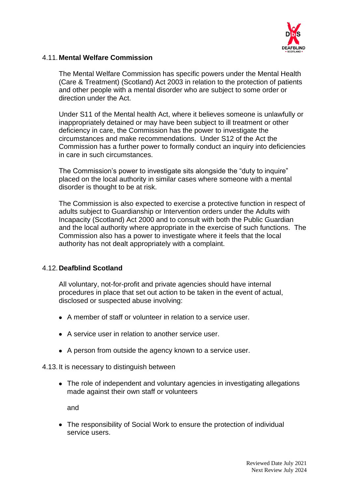

## 4.11.**Mental Welfare Commission**

The Mental Welfare Commission has specific powers under the Mental Health (Care & Treatment) (Scotland) Act 2003 in relation to the protection of patients and other people with a mental disorder who are subject to some order or direction under the Act.

Under S11 of the Mental health Act, where it believes someone is unlawfully or inappropriately detained or may have been subject to ill treatment or other deficiency in care, the Commission has the power to investigate the circumstances and make recommendations. Under S12 of the Act the Commission has a further power to formally conduct an inquiry into deficiencies in care in such circumstances.

The Commission's power to investigate sits alongside the "duty to inquire" placed on the local authority in similar cases where someone with a mental disorder is thought to be at risk.

The Commission is also expected to exercise a protective function in respect of adults subject to Guardianship or Intervention orders under the Adults with Incapacity (Scotland) Act 2000 and to consult with both the Public Guardian and the local authority where appropriate in the exercise of such functions. The Commission also has a power to investigate where it feels that the local authority has not dealt appropriately with a complaint.

## 4.12.**Deafblind Scotland**

All voluntary, not-for-profit and private agencies should have internal procedures in place that set out action to be taken in the event of actual, disclosed or suspected abuse involving:

- A member of staff or volunteer in relation to a service user.
- A service user in relation to another service user.
- A person from outside the agency known to a service user.

### 4.13.It is necessary to distinguish between

• The role of independent and voluntary agencies in investigating allegations made against their own staff or volunteers

and

• The responsibility of Social Work to ensure the protection of individual service users.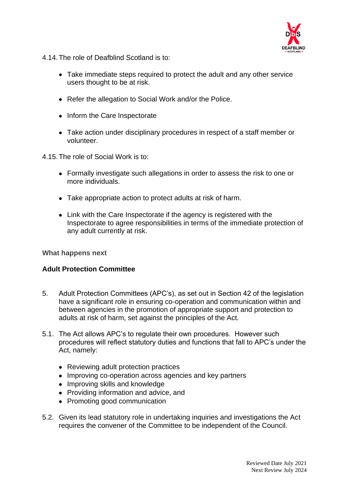

- 4.14.The role of Deafblind Scotland is to:
	- Take immediate steps required to protect the adult and any other service users thought to be at risk.
	- Refer the allegation to Social Work and/or the Police.
	- Inform the Care Inspectorate
	- Take action under disciplinary procedures in respect of a staff member or volunteer.
- 4.15.The role of Social Work is to:
	- Formally investigate such allegations in order to assess the risk to one or more individuals.
	- Take appropriate action to protect adults at risk of harm.
	- Link with the Care Inspectorate if the agency is registered with the Inspectorate to agree responsibilities in terms of the immediate protection of any adult currently at risk.

#### **What happens next**

### **Adult Protection Committee**

- 5. Adult Protection Committees (APC's), as set out in Section 42 of the legislation have a significant role in ensuring co-operation and communication within and between agencies in the promotion of appropriate support and protection to adults at risk of harm, set against the principles of the Act.
- 5.1. The Act allows APC's to regulate their own procedures. However such procedures will reflect statutory duties and functions that fall to APC's under the Act, namely:
	- Reviewing adult protection practices
	- Improving co-operation across agencies and key partners
	- Improving skills and knowledge
	- Providing information and advice, and
	- Promoting good communication
- 5.2. Given its lead statutory role in undertaking inquiries and investigations the Act requires the convener of the Committee to be independent of the Council.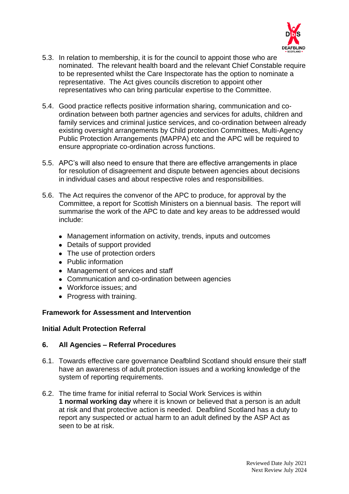

- 5.3. In relation to membership, it is for the council to appoint those who are nominated. The relevant health board and the relevant Chief Constable require to be represented whilst the Care Inspectorate has the option to nominate a representative. The Act gives councils discretion to appoint other representatives who can bring particular expertise to the Committee.
- 5.4. Good practice reflects positive information sharing, communication and coordination between both partner agencies and services for adults, children and family services and criminal justice services, and co-ordination between already existing oversight arrangements by Child protection Committees, Multi-Agency Public Protection Arrangements (MAPPA) etc and the APC will be required to ensure appropriate co-ordination across functions.
- 5.5. APC's will also need to ensure that there are effective arrangements in place for resolution of disagreement and dispute between agencies about decisions in individual cases and about respective roles and responsibilities.
- 5.6. The Act requires the convenor of the APC to produce, for approval by the Committee, a report for Scottish Ministers on a biennual basis. The report will summarise the work of the APC to date and key areas to be addressed would include:
	- Management information on activity, trends, inputs and outcomes
	- Details of support provided
	- The use of protection orders
	- Public information
	- Management of services and staff
	- Communication and co-ordination between agencies
	- Workforce issues; and
	- Progress with training.

### **Framework for Assessment and Intervention**

### **Initial Adult Protection Referral**

### **6. All Agencies – Referral Procedures**

- 6.1. Towards effective care governance Deafblind Scotland should ensure their staff have an awareness of adult protection issues and a working knowledge of the system of reporting requirements.
- 6.2. The time frame for initial referral to Social Work Services is within **1 normal working day** where it is known or believed that a person is an adult at risk and that protective action is needed. Deafblind Scotland has a duty to report any suspected or actual harm to an adult defined by the ASP Act as seen to be at risk.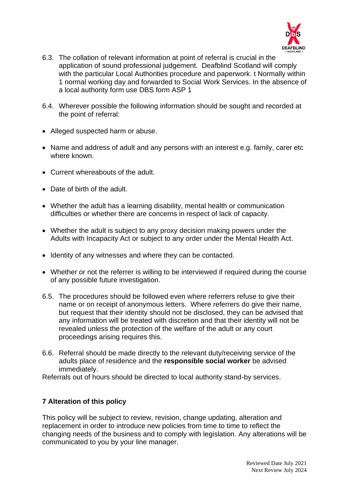

- 6.3. The collation of relevant information at point of referral is crucial in the application of sound professional judgement. Deafblind Scotland will comply with the particular Local Authorities procedure and paperwork. t Normally within 1 normal working day and forwarded to Social Work Services. In the absence of a local authority form use DBS form ASP 1
- 6.4. Wherever possible the following information should be sought and recorded at the point of referral:
- Alleged suspected harm or abuse.
- Name and address of adult and any persons with an interest e.g. family, carer etc where known.
- Current whereabouts of the adult.
- Date of birth of the adult.
- Whether the adult has a learning disability, mental health or communication difficulties or whether there are concerns in respect of lack of capacity.
- Whether the adult is subject to any proxy decision making powers under the Adults with Incapacity Act or subject to any order under the Mental Health Act.
- Identity of any witnesses and where they can be contacted.
- Whether or not the referrer is willing to be interviewed if required during the course of any possible future investigation.
- 6.5. The procedures should be followed even where referrers refuse to give their name or on receipt of anonymous letters. Where referrers do give their name, but request that their identity should not be disclosed, they can be advised that any information will be treated with discretion and that their identity will not be revealed unless the protection of the welfare of the adult or any court proceedings arising requires this.
- 6.6. Referral should be made directly to the relevant duty/receiving service of the adults place of residence and the **responsible social worker** be advised immediately.

Referrals out of hours should be directed to local authority stand-by services.

## **7 Alteration of this policy**

This policy will be subject to review, revision, change updating, alteration and replacement in order to introduce new policies from time to time to reflect the changing needs of the business and to comply with legislation. Any alterations will be communicated to you by your line manager.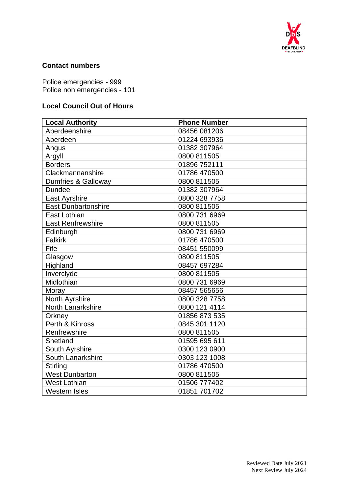

## **Contact numbers**

Police emergencies - 999 Police non emergencies - 101

# **Local Council Out of Hours**

| <b>Local Authority</b>     | <b>Phone Number</b> |
|----------------------------|---------------------|
| Aberdeenshire              | 08456 081206        |
| Aberdeen                   | 01224 693936        |
| Angus                      | 01382 307964        |
| Argyll                     | 0800 811505         |
| <b>Borders</b>             | 01896 752111        |
| Clackmannanshire           | 01786 470500        |
| Dumfries & Galloway        | 0800 811505         |
| <b>Dundee</b>              | 01382 307964        |
| <b>East Ayrshire</b>       | 0800 328 7758       |
| <b>East Dunbartonshire</b> | 0800 811505         |
| East Lothian               | 0800 731 6969       |
| <b>East Renfrewshire</b>   | 0800 811505         |
| Edinburgh                  | 0800 731 6969       |
| <b>Falkirk</b>             | 01786 470500        |
| Fife                       | 08451 550099        |
| Glasgow                    | 0800 811505         |
| Highland                   | 08457 697284        |
| Inverclyde                 | 0800 811505         |
| Midlothian                 | 0800 731 6969       |
| Moray                      | 08457 565656        |
| North Ayrshire             | 0800 328 7758       |
| <b>North Lanarkshire</b>   | 0800 121 4114       |
| Orkney                     | 01856 873 535       |
| Perth & Kinross            | 0845 301 1120       |
| Renfrewshire               | 0800 811505         |
| Shetland                   | 01595 695 611       |
| South Ayrshire             | 0300 123 0900       |
| South Lanarkshire          | 0303 123 1008       |
| <b>Stirling</b>            | 01786 470500        |
| <b>West Dunbarton</b>      | 0800 811505         |
| <b>West Lothian</b>        | 01506 777402        |
| <b>Western Isles</b>       | 01851 701702        |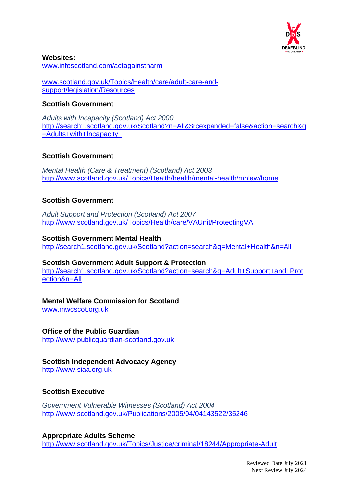

**Websites:** [www.infoscotland.com/actagainstharm](http://www.infoscotland.com/actagainstharm)

[www.scotland.gov.uk/Topics/Health/care/adult-care-and](http://www.scotland.gov.uk/Topics/Health/care/adult-care-and-support/legislation/Resources)[support/legislation/Resources](http://www.scotland.gov.uk/Topics/Health/care/adult-care-and-support/legislation/Resources)

## **Scottish Government**

*Adults with Incapacity (Scotland) Act 2000* [http://search1.scotland.gov.uk/Scotland?n=All&\\$rcexpanded=false&action=search&q](http://search1.scotland.gov.uk/Scotland?n=All&$rcexpanded=false&action=search&q=Adults+with+Incapacity+) [=Adults+with+Incapacity+](http://search1.scotland.gov.uk/Scotland?n=All&$rcexpanded=false&action=search&q=Adults+with+Incapacity+)

## **Scottish Government**

*Mental Health (Care & Treatment) (Scotland) Act 2003* <http://www.scotland.gov.uk/Topics/Health/health/mental-health/mhlaw/home>

## **Scottish Government**

*Adult Support and Protection (Scotland) Act 2007* <http://www.scotland.gov.uk/Topics/Health/care/VAUnit/ProtectingVA>

### **Scottish Government Mental Health**

<http://search1.scotland.gov.uk/Scotland?action=search&q=Mental+Health&n=All>

### **Scottish Government Adult Support & Protection**

[http://search1.scotland.gov.uk/Scotland?action=search&q=Adult+Support+and+Prot](http://search1.scotland.gov.uk/Scotland?action=search&q=Adult+Support+and+Protection&n=All) [ection&n=All](http://search1.scotland.gov.uk/Scotland?action=search&q=Adult+Support+and+Protection&n=All)

## **Mental Welfare Commission for Scotland**

[www.mwcscot.org.uk](http://www.mwcscot.org.uk/)

## **Office of the Public Guardian**

[http://www.publicguardian-scotland.gov.uk](http://www.publicguardian-scotland.gov.uk/)

# **Scottish Independent Advocacy Agency**

[http://www.siaa.org.uk](http://www.siaa.org.uk/)

## **Scottish Executive**

*Government Vulnerable Witnesses (Scotland) Act 2004* <http://www.scotland.gov.uk/Publications/2005/04/04143522/35246>

**Appropriate Adults Scheme** <http://www.scotland.gov.uk/Topics/Justice/criminal/18244/Appropriate-Adult>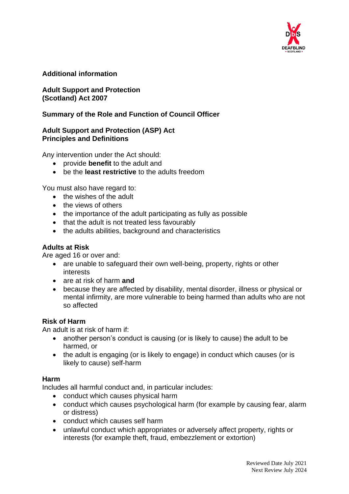

## **Additional information**

## **Adult Support and Protection (Scotland) Act 2007**

## **Summary of the Role and Function of Council Officer**

### **Adult Support and Protection (ASP) Act Principles and Definitions**

Any intervention under the Act should:

- provide **benefit** to the adult and
- be the **least restrictive** to the adults freedom

You must also have regard to:

- the wishes of the adult
- the views of others
- the importance of the adult participating as fully as possible
- that the adult is not treated less favourably
- the adults abilities, background and characteristics

### **Adults at Risk**

Are aged 16 or over and:

- are unable to safeguard their own well-being, property, rights or other interests
- are at risk of harm **and**
- because they are affected by disability, mental disorder, illness or physical or mental infirmity, are more vulnerable to being harmed than adults who are not so affected

#### **Risk of Harm**

An adult is at risk of harm if:

- another person's conduct is causing (or is likely to cause) the adult to be harmed, or
- the adult is engaging (or is likely to engage) in conduct which causes (or is likely to cause) self-harm

### **Harm**

Includes all harmful conduct and, in particular includes:

- conduct which causes physical harm
- conduct which causes psychological harm (for example by causing fear, alarm or distress)
- conduct which causes self harm
- unlawful conduct which appropriates or adversely affect property, rights or interests (for example theft, fraud, embezzlement or extortion)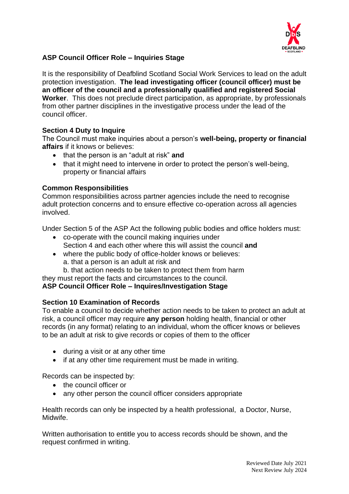

## **ASP Council Officer Role – Inquiries Stage**

It is the responsibility of Deafblind Scotland Social Work Services to lead on the adult protection investigation. **The lead investigating officer (council officer) must be an officer of the council and a professionally qualified and registered Social Worker**. This does not preclude direct participation, as appropriate, by professionals from other partner disciplines in the investigative process under the lead of the council officer.

## **Section 4 Duty to Inquire**

The Council must make inquiries about a person's **well-being, property or financial affairs** if it knows or believes:

- that the person is an "adult at risk" **and**
- that it might need to intervene in order to protect the person's well-being, property or financial affairs

### **Common Responsibilities**

Common responsibilities across partner agencies include the need to recognise adult protection concerns and to ensure effective co-operation across all agencies involved.

Under Section 5 of the ASP Act the following public bodies and office holders must:

- co-operate with the council making inquiries under Section 4 and each other where this will assist the council **and**
- where the public body of office-holder knows or believes: a. that a person is an adult at risk and
	- b. that action needs to be taken to protect them from harm

they must report the facts and circumstances to the council.

### **ASP Council Officer Role – Inquires/Investigation Stage**

### **Section 10 Examination of Records**

To enable a council to decide whether action needs to be taken to protect an adult at risk, a council officer may require **any person** holding health, financial or other records (in any format) relating to an individual, whom the officer knows or believes to be an adult at risk to give records or copies of them to the officer

- during a visit or at any other time
- if at any other time requirement must be made in writing.

Records can be inspected by:

- the council officer or
- any other person the council officer considers appropriate

Health records can only be inspected by a health professional, a Doctor, Nurse, Midwife.

Written authorisation to entitle you to access records should be shown, and the request confirmed in writing.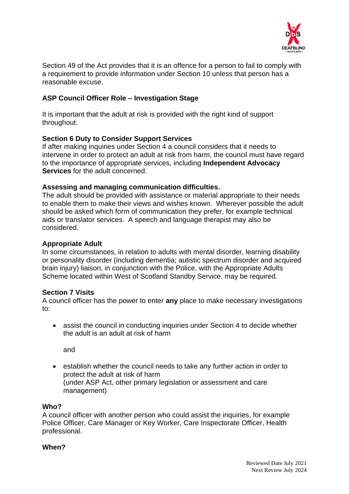

Section 49 of the Act provides that it is an offence for a person to fail to comply with a requirement to provide information under Section 10 unless that person has a reasonable excuse.

## **ASP Council Officer Role – Investigation Stage**

It is important that the adult at risk is provided with the right kind of support throughout.

## **Section 6 Duty to Consider Support Services**

If after making inquiries under Section 4 a council considers that it needs to intervene in order to protect an adult at risk from harm, the council must have regard to the importance of appropriate services, including **Independent Advocacy Services** for the adult concerned.

### **Assessing and managing communication difficulties.**

The adult should be provided with assistance or material appropriate to their needs to enable them to make their views and wishes known. Wherever possible the adult should be asked which form of communication they prefer, for example technical aids or translator services. A speech and language therapist may also be considered.

## **Appropriate Adult**

In some circumstances, in relation to adults with mental disorder, learning disability or personality disorder (including dementia; autistic spectrum disorder and acquired brain injury) liaison, in conjunction with the Police, with the Appropriate Adults Scheme located within West of Scotland Standby Service, may be required.

### **Section 7 Visits**

A council officer has the power to enter **any** place to make necessary investigations to:

• assist the council in conducting inquiries under Section 4 to decide whether the adult is an adult at risk of harm

and

• establish whether the council needs to take any further action in order to protect the adult at risk of harm (under ASP Act, other primary legislation or assessment and care management)

### **Who?**

A council officer with another person who could assist the inquiries, for example Police Officer, Care Manager or Key Worker, Care Inspectorate Officer, Health professional.

### **When?**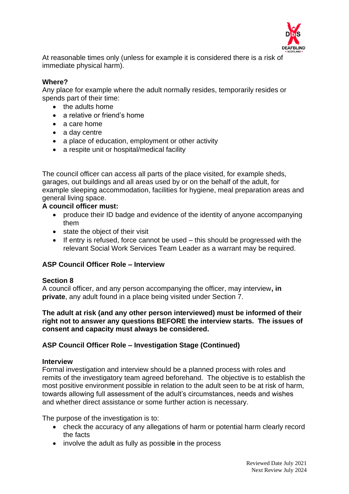

At reasonable times only (unless for example it is considered there is a risk of immediate physical harm).

## **Where?**

Any place for example where the adult normally resides, temporarily resides or spends part of their time:

- the adults home
- a relative or friend's home
- a care home
- a day centre
- a place of education, employment or other activity
- a respite unit or hospital/medical facility

The council officer can access all parts of the place visited, for example sheds, garages, out buildings and all areas used by or on the behalf of the adult, for example sleeping accommodation, facilities for hygiene, meal preparation areas and general living space.

## **A council officer must:**

- produce their ID badge and evidence of the identity of anyone accompanying them
- state the object of their visit
- If entry is refused, force cannot be used this should be progressed with the relevant Social Work Services Team Leader as a warrant may be required.

### **ASP Council Officer Role – Interview**

### **Section 8**

A council officer, and any person accompanying the officer, may interview**, in private**, any adult found in a place being visited under Section 7.

### **The adult at risk (and any other person interviewed) must be informed of their right not to answer any questions BEFORE the interview starts. The issues of consent and capacity must always be considered.**

## **ASP Council Officer Role – Investigation Stage (Continued)**

### **Interview**

Formal investigation and interview should be a planned process with roles and remits of the investigatory team agreed beforehand. The objective is to establish the most positive environment possible in relation to the adult seen to be at risk of harm, towards allowing full assessment of the adult's circumstances, needs and wishes and whether direct assistance or some further action is necessary.

The purpose of the investigation is to:

- check the accuracy of any allegations of harm or potential harm clearly record the facts
- involve the adult as fully as possibl**e** in the process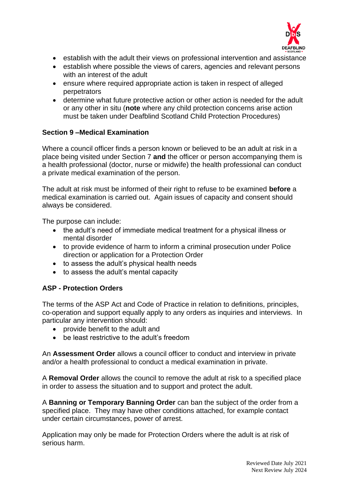

- establish with the adult their views on professional intervention and assistance
- establish where possible the views of carers, agencies and relevant persons with an interest of the adult
- ensure where required appropriate action is taken in respect of alleged perpetrators
- determine what future protective action or other action is needed for the adult or any other in situ (**note** where any child protection concerns arise action must be taken under Deafblind Scotland Child Protection Procedures)

## **Section 9 –Medical Examination**

Where a council officer finds a person known or believed to be an adult at risk in a place being visited under Section 7 **and** the officer or person accompanying them is a health professional (doctor, nurse or midwife) the health professional can conduct a private medical examination of the person.

The adult at risk must be informed of their right to refuse to be examined **before** a medical examination is carried out. Again issues of capacity and consent should always be considered.

The purpose can include:

- the adult's need of immediate medical treatment for a physical illness or mental disorder
- to provide evidence of harm to inform a criminal prosecution under Police direction or application for a Protection Order
- to assess the adult's physical health needs
- to assess the adult's mental capacity

### **ASP - Protection Orders**

The terms of the ASP Act and Code of Practice in relation to definitions, principles, co-operation and support equally apply to any orders as inquiries and interviews. In particular any intervention should:

- provide benefit to the adult and
- be least restrictive to the adult's freedom

An **Assessment Order** allows a council officer to conduct and interview in private and/or a health professional to conduct a medical examination in private.

A **Removal Order** allows the council to remove the adult at risk to a specified place in order to assess the situation and to support and protect the adult.

A **Banning or Temporary Banning Order** can ban the subject of the order from a specified place. They may have other conditions attached, for example contact under certain circumstances, power of arrest.

Application may only be made for Protection Orders where the adult is at risk of serious harm.